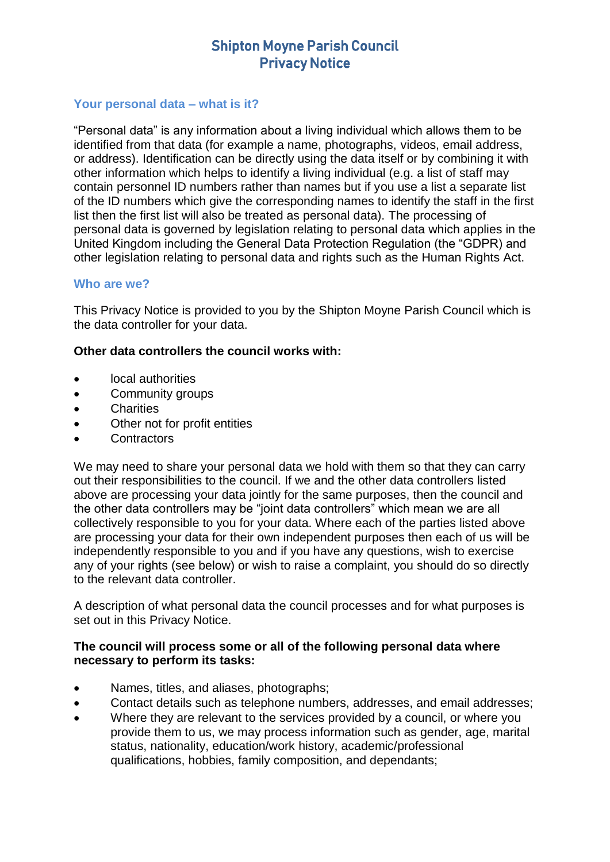#### **Your personal data – what is it?**

"Personal data" is any information about a living individual which allows them to be identified from that data (for example a name, photographs, videos, email address, or address). Identification can be directly using the data itself or by combining it with other information which helps to identify a living individual (e.g. a list of staff may contain personnel ID numbers rather than names but if you use a list a separate list of the ID numbers which give the corresponding names to identify the staff in the first list then the first list will also be treated as personal data). The processing of personal data is governed by legislation relating to personal data which applies in the United Kingdom including the General Data Protection Regulation (the "GDPR) and other legislation relating to personal data and rights such as the Human Rights Act.

#### **Who are we?**

This Privacy Notice is provided to you by the Shipton Moyne Parish Council which is the data controller for your data.

#### **Other data controllers the council works with:**

- local authorities
- Community groups
- Charities
- Other not for profit entities
- **Contractors**

We may need to share your personal data we hold with them so that they can carry out their responsibilities to the council. If we and the other data controllers listed above are processing your data jointly for the same purposes, then the council and the other data controllers may be "joint data controllers" which mean we are all collectively responsible to you for your data. Where each of the parties listed above are processing your data for their own independent purposes then each of us will be independently responsible to you and if you have any questions, wish to exercise any of your rights (see below) or wish to raise a complaint, you should do so directly to the relevant data controller.

A description of what personal data the council processes and for what purposes is set out in this Privacy Notice.

#### **The council will process some or all of the following personal data where necessary to perform its tasks:**

- Names, titles, and aliases, photographs;
- Contact details such as telephone numbers, addresses, and email addresses;
- Where they are relevant to the services provided by a council, or where you provide them to us, we may process information such as gender, age, marital status, nationality, education/work history, academic/professional qualifications, hobbies, family composition, and dependants;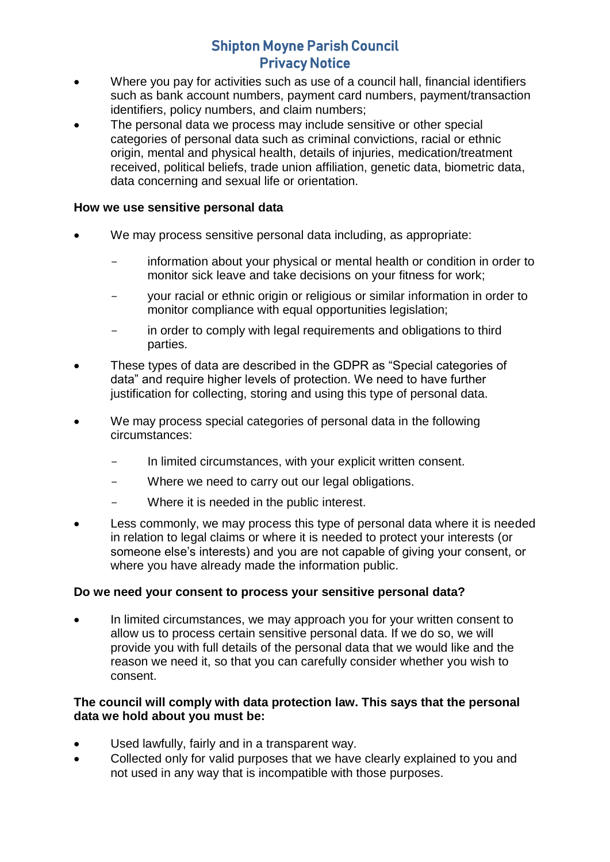- Where you pay for activities such as use of a council hall, financial identifiers such as bank account numbers, payment card numbers, payment/transaction identifiers, policy numbers, and claim numbers;
- The personal data we process may include sensitive or other special categories of personal data such as criminal convictions, racial or ethnic origin, mental and physical health, details of injuries, medication/treatment received, political beliefs, trade union affiliation, genetic data, biometric data, data concerning and sexual life or orientation.

#### **How we use sensitive personal data**

- We may process sensitive personal data including, as appropriate:
	- information about your physical or mental health or condition in order to monitor sick leave and take decisions on your fitness for work;
	- your racial or ethnic origin or religious or similar information in order to monitor compliance with equal opportunities legislation;
	- in order to comply with legal requirements and obligations to third parties.
- These types of data are described in the GDPR as "Special categories of data" and require higher levels of protection. We need to have further justification for collecting, storing and using this type of personal data.
- We may process special categories of personal data in the following circumstances:
	- In limited circumstances, with your explicit written consent.
	- Where we need to carry out our legal obligations.
	- Where it is needed in the public interest.
- Less commonly, we may process this type of personal data where it is needed in relation to legal claims or where it is needed to protect your interests (or someone else's interests) and you are not capable of giving your consent, or where you have already made the information public.

#### **Do we need your consent to process your sensitive personal data?**

• In limited circumstances, we may approach you for your written consent to allow us to process certain sensitive personal data. If we do so, we will provide you with full details of the personal data that we would like and the reason we need it, so that you can carefully consider whether you wish to consent.

#### **The council will comply with data protection law. This says that the personal data we hold about you must be:**

- Used lawfully, fairly and in a transparent way.
- Collected only for valid purposes that we have clearly explained to you and not used in any way that is incompatible with those purposes.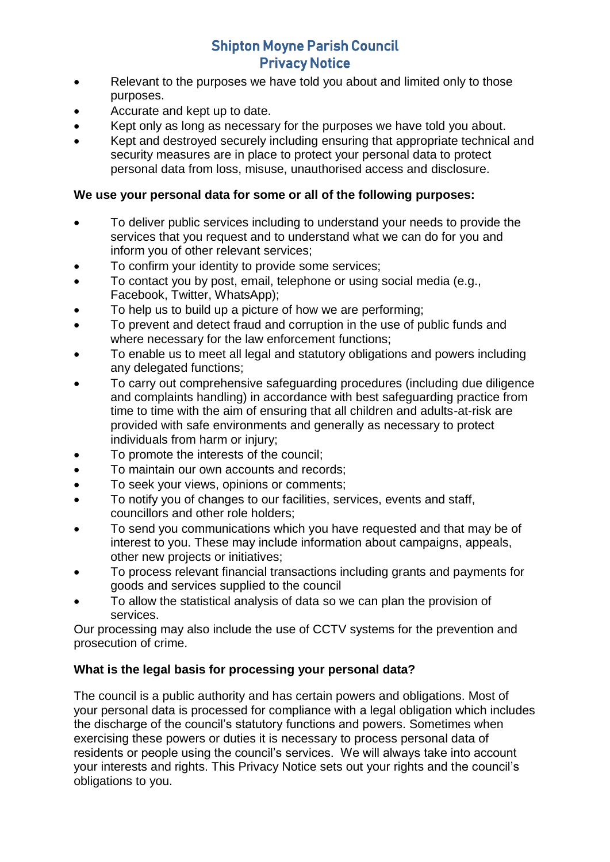- Relevant to the purposes we have told you about and limited only to those purposes.
- Accurate and kept up to date.
- Kept only as long as necessary for the purposes we have told you about.
- Kept and destroyed securely including ensuring that appropriate technical and security measures are in place to protect your personal data to protect personal data from loss, misuse, unauthorised access and disclosure.

## **We use your personal data for some or all of the following purposes:**

- To deliver public services including to understand your needs to provide the services that you request and to understand what we can do for you and inform you of other relevant services;
- To confirm your identity to provide some services;
- To contact you by post, email, telephone or using social media (e.g., Facebook, Twitter, WhatsApp);
- To help us to build up a picture of how we are performing;
- To prevent and detect fraud and corruption in the use of public funds and where necessary for the law enforcement functions;
- To enable us to meet all legal and statutory obligations and powers including any delegated functions;
- To carry out comprehensive safeguarding procedures (including due diligence and complaints handling) in accordance with best safeguarding practice from time to time with the aim of ensuring that all children and adults-at-risk are provided with safe environments and generally as necessary to protect individuals from harm or injury;
- To promote the interests of the council;
- To maintain our own accounts and records;
- To seek your views, opinions or comments;
- To notify you of changes to our facilities, services, events and staff, councillors and other role holders;
- To send you communications which you have requested and that may be of interest to you. These may include information about campaigns, appeals, other new projects or initiatives;
- To process relevant financial transactions including grants and payments for goods and services supplied to the council
- To allow the statistical analysis of data so we can plan the provision of services.

Our processing may also include the use of CCTV systems for the prevention and prosecution of crime.

## **What is the legal basis for processing your personal data?**

The council is a public authority and has certain powers and obligations. Most of your personal data is processed for compliance with a legal obligation which includes the discharge of the council's statutory functions and powers. Sometimes when exercising these powers or duties it is necessary to process personal data of residents or people using the council's services. We will always take into account your interests and rights. This Privacy Notice sets out your rights and the council's obligations to you.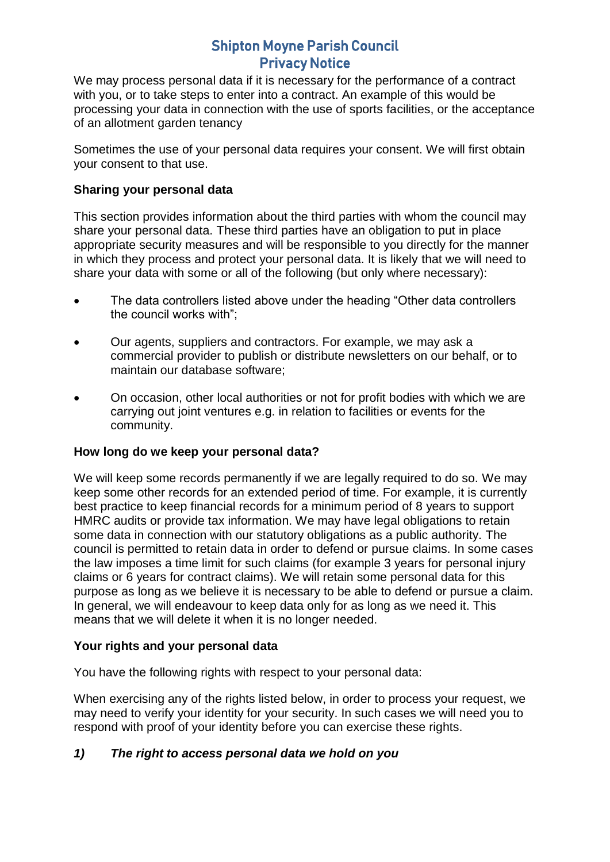We may process personal data if it is necessary for the performance of a contract with you, or to take steps to enter into a contract. An example of this would be processing your data in connection with the use of sports facilities, or the acceptance of an allotment garden tenancy

Sometimes the use of your personal data requires your consent. We will first obtain your consent to that use.

### **Sharing your personal data**

This section provides information about the third parties with whom the council may share your personal data. These third parties have an obligation to put in place appropriate security measures and will be responsible to you directly for the manner in which they process and protect your personal data. It is likely that we will need to share your data with some or all of the following (but only where necessary):

- The data controllers listed above under the heading "Other data controllers the council works with";
- Our agents, suppliers and contractors. For example, we may ask a commercial provider to publish or distribute newsletters on our behalf, or to maintain our database software;
- On occasion, other local authorities or not for profit bodies with which we are carrying out joint ventures e.g. in relation to facilities or events for the community.

#### **How long do we keep your personal data?**

We will keep some records permanently if we are legally required to do so. We may keep some other records for an extended period of time. For example, it is currently best practice to keep financial records for a minimum period of 8 years to support HMRC audits or provide tax information. We may have legal obligations to retain some data in connection with our statutory obligations as a public authority. The council is permitted to retain data in order to defend or pursue claims. In some cases the law imposes a time limit for such claims (for example 3 years for personal injury claims or 6 years for contract claims). We will retain some personal data for this purpose as long as we believe it is necessary to be able to defend or pursue a claim. In general, we will endeavour to keep data only for as long as we need it. This means that we will delete it when it is no longer needed.

#### **Your rights and your personal data**

You have the following rights with respect to your personal data:

When exercising any of the rights listed below, in order to process your request, we may need to verify your identity for your security. In such cases we will need you to respond with proof of your identity before you can exercise these rights.

#### *1) The right to access personal data we hold on you*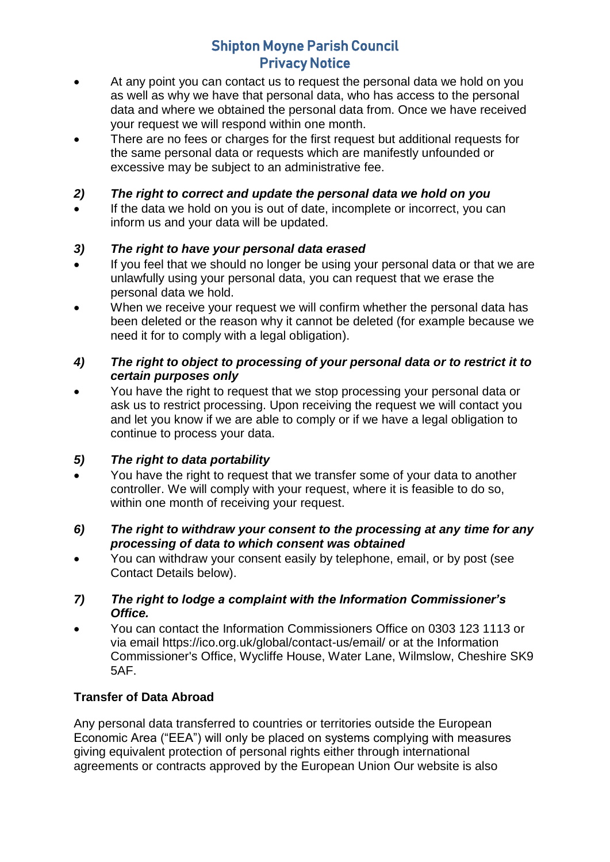- At any point you can contact us to request the personal data we hold on you as well as why we have that personal data, who has access to the personal data and where we obtained the personal data from. Once we have received your request we will respond within one month.
- There are no fees or charges for the first request but additional requests for the same personal data or requests which are manifestly unfounded or excessive may be subject to an administrative fee.

## *2) The right to correct and update the personal data we hold on you*

 If the data we hold on you is out of date, incomplete or incorrect, you can inform us and your data will be updated.

## *3) The right to have your personal data erased*

- If you feel that we should no longer be using your personal data or that we are unlawfully using your personal data, you can request that we erase the personal data we hold.
- When we receive your request we will confirm whether the personal data has been deleted or the reason why it cannot be deleted (for example because we need it for to comply with a legal obligation).

### *4) The right to object to processing of your personal data or to restrict it to certain purposes only*

 You have the right to request that we stop processing your personal data or ask us to restrict processing. Upon receiving the request we will contact you and let you know if we are able to comply or if we have a legal obligation to continue to process your data.

## *5) The right to data portability*

 You have the right to request that we transfer some of your data to another controller. We will comply with your request, where it is feasible to do so, within one month of receiving your request.

## *6) The right to withdraw your consent to the processing at any time for any processing of data to which consent was obtained*

 You can withdraw your consent easily by telephone, email, or by post (see Contact Details below).

## *7) The right to lodge a complaint with the Information Commissioner's Office.*

 You can contact the Information Commissioners Office on 0303 123 1113 or via email https://ico.org.uk/global/contact-us/email/ or at the Information Commissioner's Office, Wycliffe House, Water Lane, Wilmslow, Cheshire SK9 5AF.

## **Transfer of Data Abroad**

Any personal data transferred to countries or territories outside the European Economic Area ("EEA") will only be placed on systems complying with measures giving equivalent protection of personal rights either through international agreements or contracts approved by the European Union Our website is also